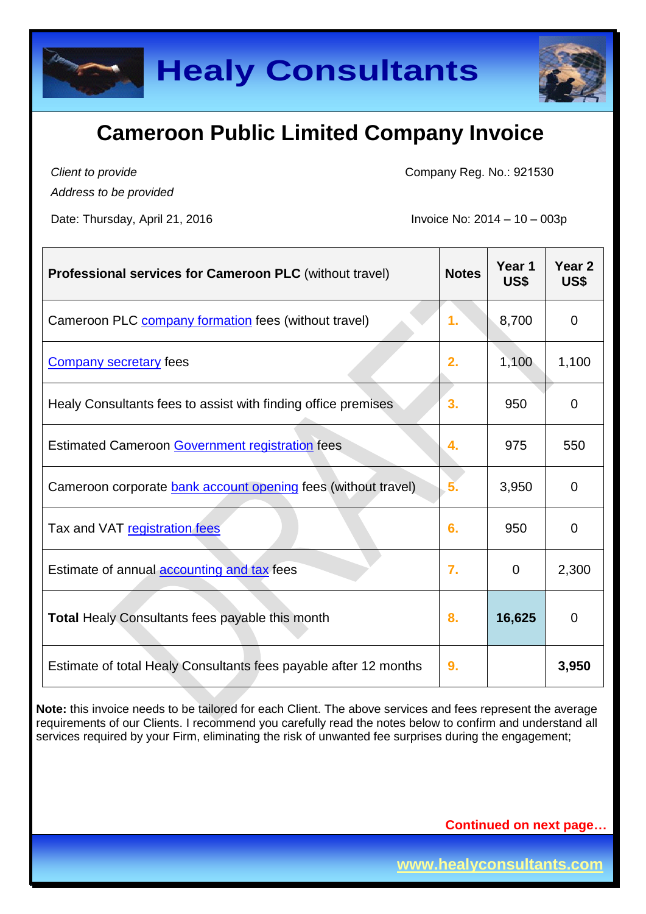



*Client to provide Address to be provided*

Date: Thursday, April 21, 2016 **Invoice No: 2014 – 10 – 003p** 

Company Reg. No.: 921530

| <b>Professional services for Cameroon PLC (without travel)</b>   | <b>Notes</b> | Year 1<br>US\$ | Year <sub>2</sub><br>US\$ |
|------------------------------------------------------------------|--------------|----------------|---------------------------|
| Cameroon PLC company formation fees (without travel)             | 1.           | 8,700          | $\mathbf 0$               |
| <b>Company secretary fees</b>                                    | 2.           | 1,100          | 1,100                     |
| Healy Consultants fees to assist with finding office premises    | 3.           | 950            | 0                         |
| <b>Estimated Cameroon Government registration fees</b>           | 4.           | 975            | 550                       |
| Cameroon corporate bank account opening fees (without travel)    | 5.           | 3,950          | 0                         |
| Tax and VAT registration fees                                    | 6.           | 950            | 0                         |
| Estimate of annual <b>accounting and tax</b> fees                | 7.           | $\overline{0}$ | 2,300                     |
| <b>Total Healy Consultants fees payable this month</b>           | 8.           | 16,625         | $\overline{0}$            |
| Estimate of total Healy Consultants fees payable after 12 months | 9.           |                | 3,950                     |

**Note:** this invoice needs to be tailored for each Client. The above services and fees represent the average requirements of our Clients. I recommend you carefully read the notes below to confirm and understand all services required by your Firm, eliminating the risk of unwanted fee surprises during the engagement;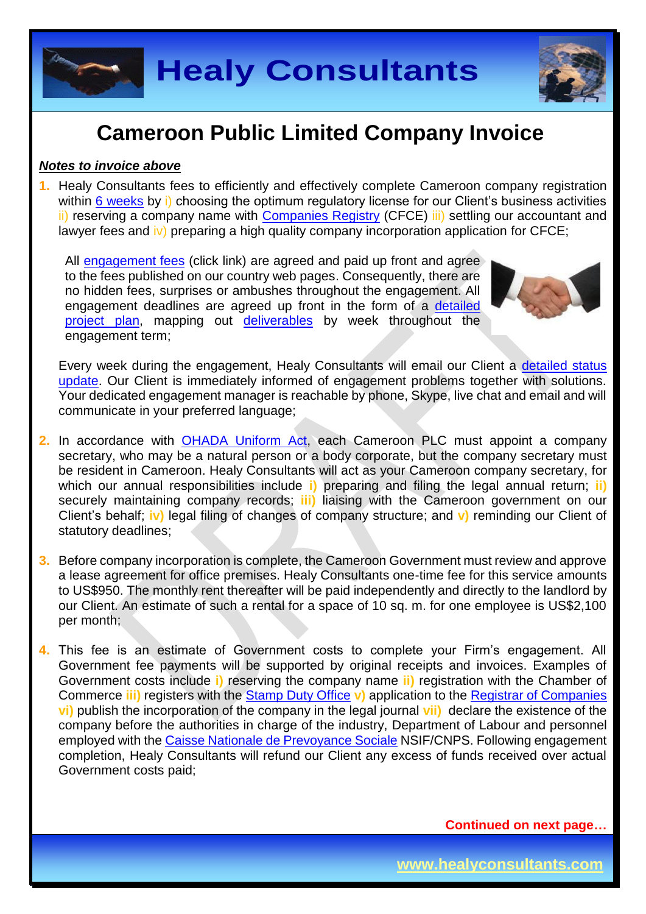

# **Cameroon Public Limited Company Invoice**

### *Notes to invoice above*

**1.** Healy Consultants fees to efficiently and effectively complete Cameroon company registration within 6 [weeks](http://www.healyconsultants.com/cameroon-company-registration/fees-timelines/) by i) choosing the optimum regulatory license for our Client's business activities ii) reserving a company name with [Companies Registry](http://www.cfce.cm/) (CFCE) iii) settling our accountant and lawyer fees and iv) preparing a high quality company incorporation application for CFCE;

All [engagement fees](http://www.healyconsultants.com/company-registration-fees/) (click link) are agreed and paid up front and agree to the fees published on our country web pages. Consequently, there are no hidden fees, surprises or ambushes throughout the engagement. All engagement deadlines are agreed up front in the form of a [detailed](http://www.healyconsultants.com/index-important-links/example-project-plan/)  [project plan,](http://www.healyconsultants.com/index-important-links/example-project-plan/) mapping out [deliverables](http://www.healyconsultants.com/deliverables-to-our-clients/) by week throughout the engagement term;



Every week during the engagement, Healy Consultants will email our Client a detailed status [update.](http://www.healyconsultants.com/index-important-links/weekly-engagement-status-email/) Our Client is immediately informed of engagement problems together with solutions. Your dedicated engagement manager is reachable by phone, Skype, live chat and email and will communicate in your preferred language;

- **2.** In accordance with [OHADA Uniform Act,](http://www.juriscope.org/uploads/pdf/ohada/OHADA_en/societe-gb.pdf) each Cameroon PLC must appoint a company secretary, who may be a natural person or a body corporate, but the company secretary must be resident in Cameroon. Healy Consultants will act as your Cameroon company secretary, for which our annual responsibilities include **i)** preparing and filing the legal annual return; **ii)** securely maintaining company records; **iii)** liaising with the Cameroon government on our Client's behalf; **iv)** legal filing of changes of company structure; and **v)** reminding our Client of statutory deadlines;
- **3.** Before company incorporation is complete, the Cameroon Government must review and approve a lease agreement for office premises. Healy Consultants one-time fee for this service amounts to US\$950. The monthly rent thereafter will be paid independently and directly to the landlord by our Client. An estimate of such a rental for a space of 10 sq. m. for one employee is US\$2,100 per month;
- **4.** This fee is an estimate of Government costs to complete your Firm's engagement. All Government fee payments will be supported by original receipts and invoices. Examples of Government costs include **i)** reserving the company name **ii)** registration with the Chamber of Commerce **iii)** registers with the [Stamp Duty Office](http://www.impots.cm/?hl=en_US) **v)** application to the [Registrar of Companies](http://www.cfce.cm/) **vi)** publish the incorporation of the company in the legal journal **vii)** declare the existence of the company before the authorities in charge of the industry, Department of Labour and personnel employed with the [Caisse Nationale de Prevoyance Sociale](http://www.cnps.cm/) NSIF/CNPS. Following engagement completion, Healy Consultants will refund our Client any excess of funds received over actual Government costs paid;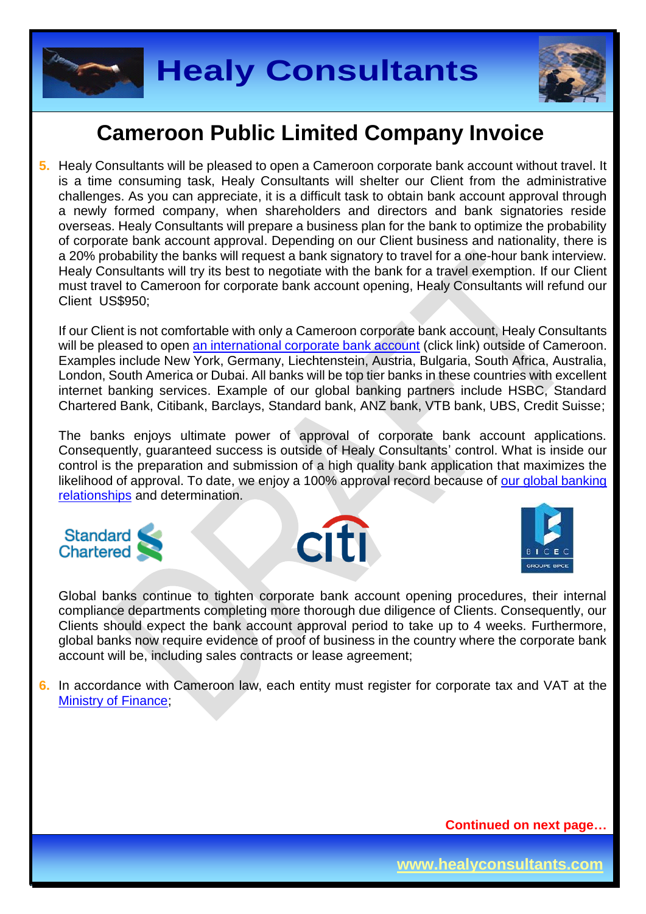

## **Cameroon Public Limited Company Invoice**

**5.** Healy Consultants will be pleased to open a Cameroon corporate bank account without travel. It is a time consuming task, Healy Consultants will shelter our Client from the administrative challenges. As you can appreciate, it is a difficult task to obtain bank account approval through a newly formed company, when shareholders and directors and bank signatories reside overseas. Healy Consultants will prepare a business plan for the bank to optimize the probability of corporate bank account approval. Depending on our Client business and nationality, there is a 20% probability the banks will request a bank signatory to travel for a one-hour bank interview. Healy Consultants will try its best to negotiate with the bank for a travel exemption. If our Client must travel to Cameroon for corporate bank account opening, Healy Consultants will refund our Client US\$950;

If our Client is not comfortable with only a Cameroon corporate bank account, Healy Consultants will be pleased to open [an international corporate bank account](http://www.healyconsultants.com/international-banking/) (click link) outside of Cameroon. Examples include New York, Germany, Liechtenstein, Austria, Bulgaria, South Africa, Australia, London, South America or Dubai. All banks will be top tier banks in these countries with excellent internet banking services. Example of our global banking partners include HSBC, Standard Chartered Bank, Citibank, Barclays, Standard bank, ANZ bank, VTB bank, UBS, Credit Suisse;

The banks enjoys ultimate power of approval of corporate bank account applications. Consequently, guaranteed success is outside of Healy Consultants' control. What is inside our control is the preparation and submission of a high quality bank application that maximizes the likelihood of approval. To date, we enjoy a 100% approval record because of our global banking [relationships](http://www.healyconsultants.com/international-banking/corporate-accounts/) and determination.







Global banks continue to tighten corporate bank account opening procedures, their internal compliance departments completing more thorough due diligence of Clients. Consequently, our Clients should expect the bank account approval period to take up to 4 weeks. Furthermore, global banks now require evidence of proof of business in the country where the corporate bank account will be, including sales contracts or lease agreement;

**6.** In accordance with Cameroon law, each entity must register for corporate tax and VAT at the [Ministry of Finance;](http://www.impots.cm/index.php?page=droits-d-enregistrement&hl=fr_FR)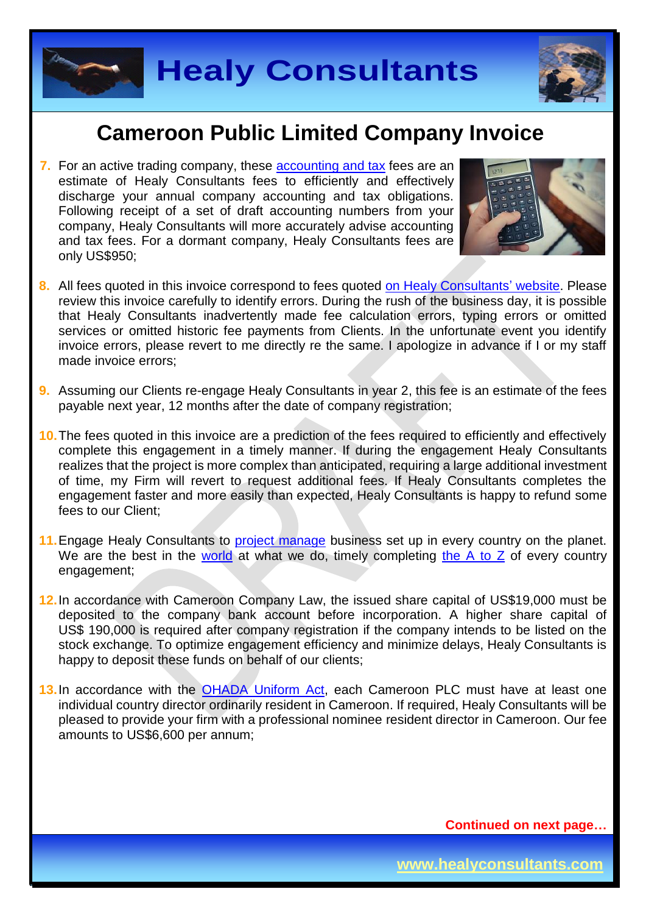

## **Cameroon Public Limited Company Invoice**

**7.** For an active trading company, these [accounting and tax](http://www.healyconsultants.com/cameroon-company-registration/accounting-legal/) fees are an estimate of Healy Consultants fees to efficiently and effectively discharge your annual company accounting and tax obligations. Following receipt of a set of draft accounting numbers from your company, Healy Consultants will more accurately advise accounting and tax fees. For a dormant company, Healy Consultants fees are only US\$950;



- **8.** All fees quoted in this invoice correspond to fees quoted [on Healy Consultants' website.](http://www.healyconsultants.com/company-registration-fees/) Please review this invoice carefully to identify errors. During the rush of the business day, it is possible that Healy Consultants inadvertently made fee calculation errors, typing errors or omitted services or omitted historic fee payments from Clients. In the unfortunate event you identify invoice errors, please revert to me directly re the same. I apologize in advance if I or my staff made invoice errors;
- **9.** Assuming our Clients re-engage Healy Consultants in year 2, this fee is an estimate of the fees payable next year, 12 months after the date of company registration;
- **10.**The fees quoted in this invoice are a prediction of the fees required to efficiently and effectively complete this engagement in a timely manner. If during the engagement Healy Consultants realizes that the project is more complex than anticipated, requiring a large additional investment of time, my Firm will revert to request additional fees. If Healy Consultants completes the engagement faster and more easily than expected, Healy Consultants is happy to refund some fees to our Client;
- 11. Engage Healy Consultants to [project manage](http://www.healyconsultants.com/project-manage-engagements/) business set up in every country on the planet. We are the best in the [world](http://www.healyconsultants.com/best-in-the-world/) at what we do, timely completing [the A to Z](http://www.healyconsultants.com/a-to-z-of-business-set-up/) of every country engagement;
- **12.**In accordance with Cameroon Company Law, the issued share capital of US\$19,000 must be deposited to the company bank account before incorporation. A higher share capital of US\$ 190,000 is required after company registration if the company intends to be listed on the stock exchange. To optimize engagement efficiency and minimize delays, Healy Consultants is happy to deposit these funds on behalf of our clients;
- 13. In accordance with the [OHADA Uniform Act,](http://www.juriscope.org/uploads/pdf/ohada/OHADA_en/societe-gb.pdf) each Cameroon PLC must have at least one individual country director ordinarily resident in Cameroon. If required, Healy Consultants will be pleased to provide your firm with a professional nominee resident director in Cameroon. Our fee amounts to US\$6,600 per annum;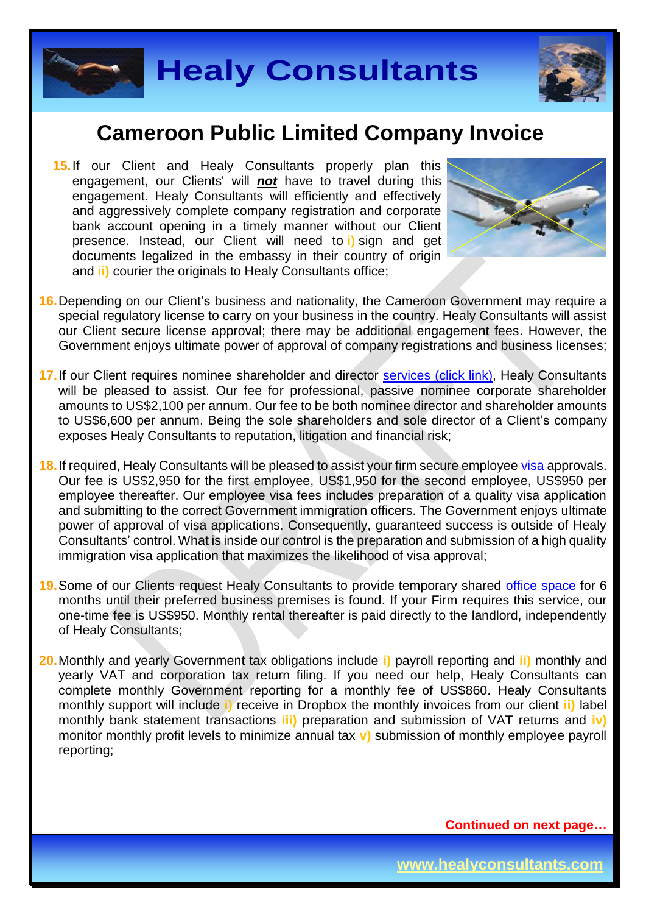

### **Cameroon Public Limited Company Invoice**

**15.** If our Client and Healy Consultants properly plan this engagement, our Clients' will *not* have to travel during this engagement. Healy Consultants will efficiently and effectively and aggressively complete company registration and corporate bank account opening in a timely manner without our Client presence. Instead, our Client will need to **i)** sign and get documents legalized in the embassy in their country of origin and **ii)** courier the originals to Healy Consultants office:



- **16.**Depending on our Client's business and nationality, the Cameroon Government may require a special regulatory license to carry on your business in the country. Healy Consultants will assist our Client secure license approval; there may be additional engagement fees. However, the Government enjoys ultimate power of approval of company registrations and business licenses;
- 17. If our Client requires nominee shareholder and director services [\(click link\),](http://www.healyconsultants.com/corporate-outsourcing-services/nominee-shareholders-directors/) Healy Consultants will be pleased to assist. Our fee for professional, passive nominee corporate shareholder amounts to US\$2,100 per annum. Our fee to be both nominee director and shareholder amounts to US\$6,600 per annum. Being the sole shareholders and sole director of a Client's company exposes Healy Consultants to reputation, litigation and financial risk;
- **18.**If required, Healy Consultants will be pleased to assist your firm secure employee [visa](http://www.visa-en-ligne.com/pays/Cameroun.php) approvals. Our fee is US\$2,950 for the first employee, US\$1,950 for the second employee, US\$950 per employee thereafter. Our employee visa fees includes preparation of a quality visa application and submitting to the correct Government immigration officers. The Government enjoys ultimate power of approval of visa applications. Consequently, guaranteed success is outside of Healy Consultants' control. What is inside our control is the preparation and submission of a high quality immigration visa application that maximizes the likelihood of visa approval;
- **19.**Some of our Clients request Healy Consultants to provide temporary shared [office space](http://www.healyconsultants.com/virtual-office/) for 6 months until their preferred business premises is found. If your Firm requires this service, our one-time fee is US\$950. Monthly rental thereafter is paid directly to the landlord, independently of Healy Consultants;
- **20.**Monthly and yearly Government tax obligations include **i)** payroll reporting and **ii)** monthly and yearly VAT and corporation tax return filing. If you need our help, Healy Consultants can complete monthly Government reporting for a monthly fee of US\$860. Healy Consultants monthly support will include **i)** receive in Dropbox the monthly invoices from our client **ii)** label monthly bank statement transactions **iii)** preparation and submission of VAT returns and **iv)** monitor monthly profit levels to minimize annual tax **v)** submission of monthly employee payroll reporting;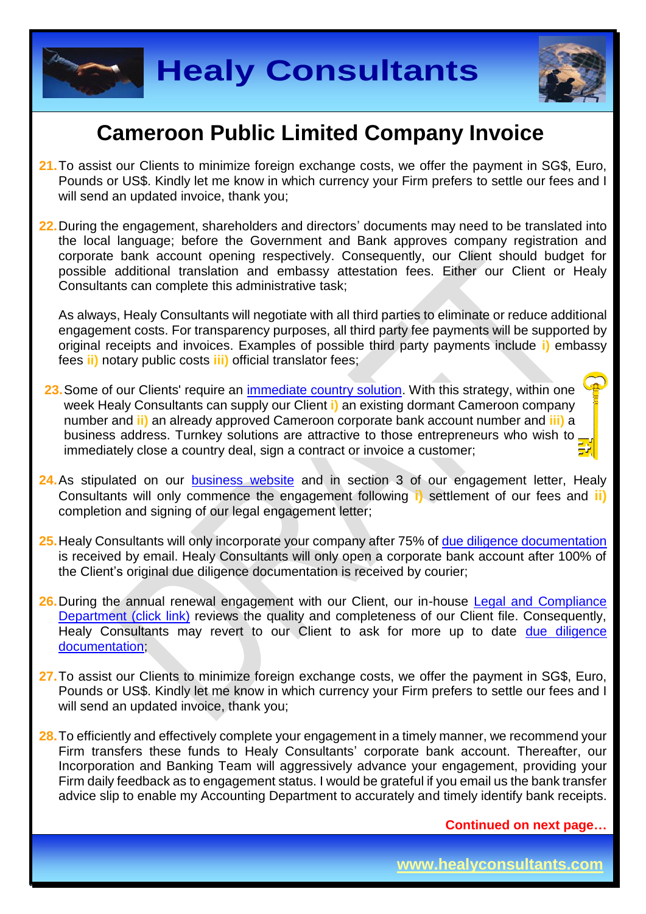



# **Cameroon Public Limited Company Invoice**

- **21.**To assist our Clients to minimize foreign exchange costs, we offer the payment in SG\$, Euro, Pounds or US\$. Kindly let me know in which currency your Firm prefers to settle our fees and I will send an updated invoice, thank you:
- **22.**During the engagement, shareholders and directors' documents may need to be translated into the local language; before the Government and Bank approves company registration and corporate bank account opening respectively. Consequently, our Client should budget for possible additional translation and embassy attestation fees. Either our Client or Healy Consultants can complete this administrative task;

As always, Healy Consultants will negotiate with all third parties to eliminate or reduce additional engagement costs. For transparency purposes, all third party fee payments will be supported by original receipts and invoices. Examples of possible third party payments include **i)** embassy fees **ii)** notary public costs **iii)** official translator fees;

- 23. Some of our Clients' require an [immediate country](http://www.healyconsultants.com/turnkey-solutions/) solution. With this strategy, within one week Healy Consultants can supply our Client **i)** an existing dormant Cameroon company number and **ii)** an already approved Cameroon corporate bank account number and **iii)** a business address. Turnkey solutions are attractive to those entrepreneurs who wish to immediately close a country deal, sign a contract or invoice a customer;
- **24.**As stipulated on our [business website](http://www.healyconsultants.com/) and in section 3 of our engagement letter, Healy Consultants will only commence the engagement following **i)** settlement of our fees and **ii)** completion and signing of our legal engagement letter;
- **25.**Healy Consultants will only incorporate your company after 75% of [due diligence documentation](http://www.healyconsultants.com/due-diligence/) is received by email. Healy Consultants will only open a corporate bank account after 100% of the Client's original due diligence documentation is received by courier;
- **26.**During the annual renewal engagement with our Client, our in-house [Legal and Compliance](http://www.healyconsultants.com/about-us/key-personnel/cai-xin-profile/)  [Department \(click link\)](http://www.healyconsultants.com/about-us/key-personnel/cai-xin-profile/) reviews the quality and completeness of our Client file. Consequently, Healy Consultants may revert to our Client to ask for more up to date due diligence [documentation;](http://www.healyconsultants.com/due-diligence/)
- **27.**To assist our Clients to minimize foreign exchange costs, we offer the payment in SG\$, Euro, Pounds or US\$. Kindly let me know in which currency your Firm prefers to settle our fees and I will send an updated invoice, thank you;
- **28.**To efficiently and effectively complete your engagement in a timely manner, we recommend your Firm transfers these funds to Healy Consultants' corporate bank account. Thereafter, our Incorporation and Banking Team will aggressively advance your engagement, providing your Firm daily feedback as to engagement status. I would be grateful if you email us the bank transfer advice slip to enable my Accounting Department to accurately and timely identify bank receipts.

**Continued on next page…**

**www.healyconsultants.com**